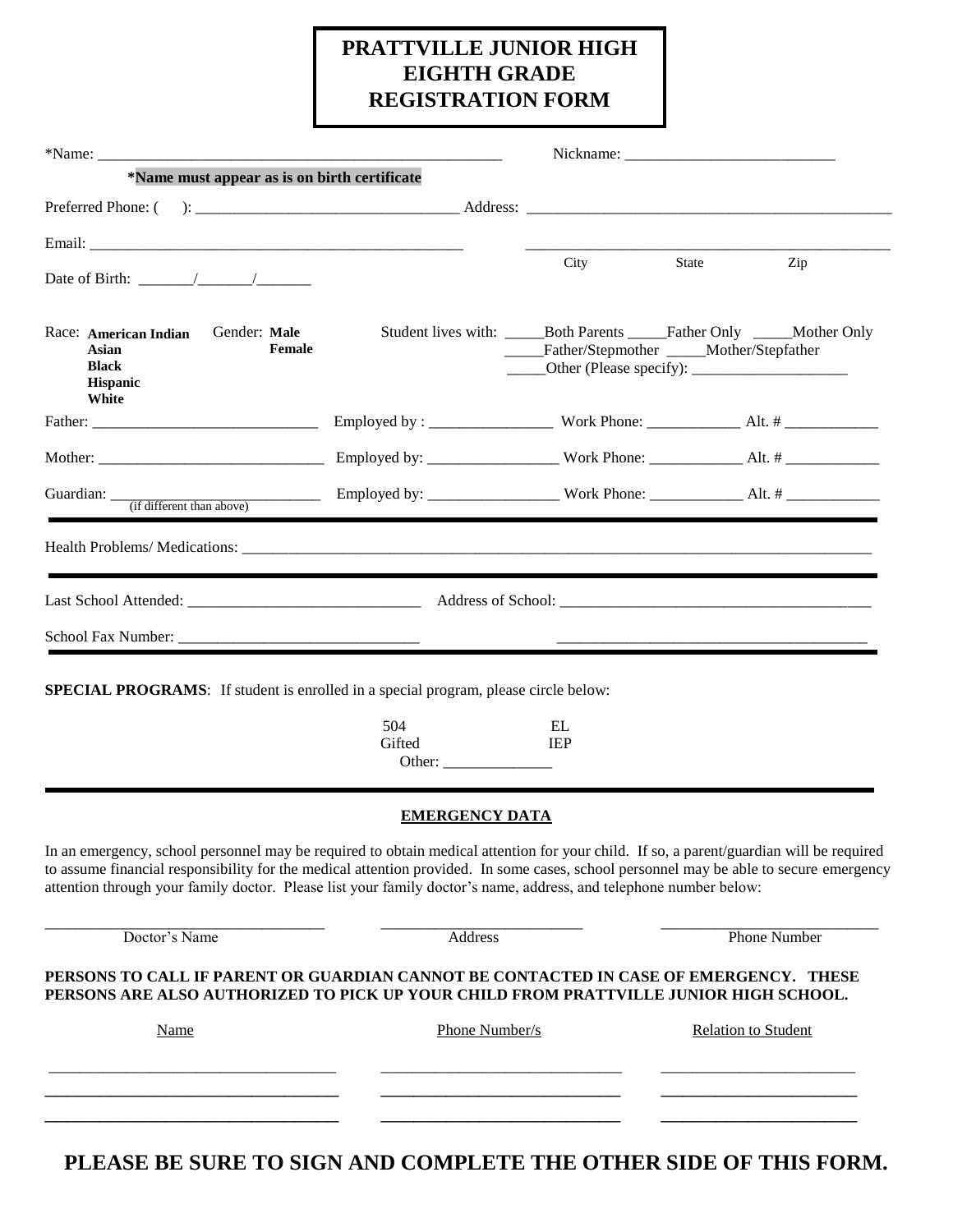# **PRATTVILLE JUNIOR HIGH EIGHTH GRADE REGISTRATION FORM**

| *Name must appear as is on birth certificate                                                                                                                                                                                                                                                                                     |                                                                               |                                               |                            |                     |
|----------------------------------------------------------------------------------------------------------------------------------------------------------------------------------------------------------------------------------------------------------------------------------------------------------------------------------|-------------------------------------------------------------------------------|-----------------------------------------------|----------------------------|---------------------|
|                                                                                                                                                                                                                                                                                                                                  |                                                                               |                                               |                            |                     |
|                                                                                                                                                                                                                                                                                                                                  |                                                                               |                                               |                            |                     |
|                                                                                                                                                                                                                                                                                                                                  |                                                                               | City                                          | State                      | Zip                 |
| Gender: Male<br>Race: American Indian<br>Female<br>Asian<br><b>Black</b><br><b>Hispanic</b><br>White                                                                                                                                                                                                                             | Student lives with: ________Both Parents _______Father Only ______Mother Only | _____Father/Stepmother _____Mother/Stepfather |                            |                     |
|                                                                                                                                                                                                                                                                                                                                  |                                                                               |                                               |                            |                     |
|                                                                                                                                                                                                                                                                                                                                  |                                                                               |                                               |                            |                     |
|                                                                                                                                                                                                                                                                                                                                  |                                                                               |                                               |                            |                     |
|                                                                                                                                                                                                                                                                                                                                  |                                                                               |                                               |                            |                     |
|                                                                                                                                                                                                                                                                                                                                  |                                                                               |                                               |                            |                     |
|                                                                                                                                                                                                                                                                                                                                  |                                                                               |                                               |                            |                     |
|                                                                                                                                                                                                                                                                                                                                  |                                                                               |                                               |                            |                     |
| <b>SPECIAL PROGRAMS:</b> If student is enrolled in a special program, please circle below:                                                                                                                                                                                                                                       |                                                                               |                                               |                            |                     |
|                                                                                                                                                                                                                                                                                                                                  |                                                                               |                                               |                            |                     |
|                                                                                                                                                                                                                                                                                                                                  | 504<br>Gifted                                                                 | EL<br><b>IEP</b>                              |                            |                     |
|                                                                                                                                                                                                                                                                                                                                  |                                                                               |                                               |                            |                     |
|                                                                                                                                                                                                                                                                                                                                  | <b>EMERGENCY DATA</b>                                                         |                                               |                            |                     |
| In an emergency, school personnel may be required to obtain medical attention for your child. If so, a parent/guardian will be required                                                                                                                                                                                          |                                                                               |                                               |                            |                     |
| attention through your family doctor. Please list your family doctor's name, address, and telephone number below:                                                                                                                                                                                                                |                                                                               |                                               |                            |                     |
| Doctor's Name                                                                                                                                                                                                                                                                                                                    | <b>Address</b>                                                                |                                               |                            | <b>Phone Number</b> |
|                                                                                                                                                                                                                                                                                                                                  |                                                                               |                                               |                            |                     |
| to assume financial responsibility for the medical attention provided. In some cases, school personnel may be able to secure emergency<br>PERSONS TO CALL IF PARENT OR GUARDIAN CANNOT BE CONTACTED IN CASE OF EMERGENCY. THESE<br>PERSONS ARE ALSO AUTHORIZED TO PICK UP YOUR CHILD FROM PRATTVILLE JUNIOR HIGH SCHOOL.<br>Name | Phone Number/s                                                                |                                               | <b>Relation to Student</b> |                     |
|                                                                                                                                                                                                                                                                                                                                  |                                                                               |                                               |                            |                     |

**PLEASE BE SURE TO SIGN AND COMPLETE THE OTHER SIDE OF THIS FORM.**